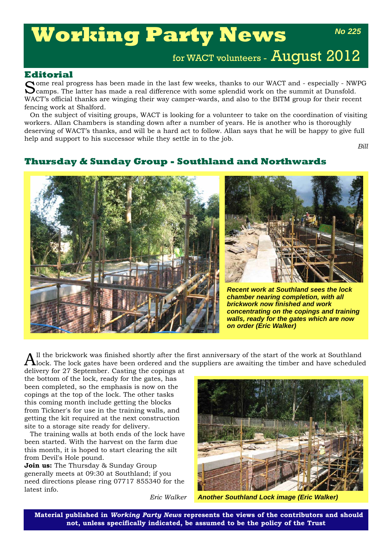# **Working Party News**

*No 225*

for WACT volunteers - August 2012

### **Editorial**

Some real progress has been made in the last few weeks, thanks to our WACT and - especially - NWPG Camps. The latter has made a real difference with some splendid work on the summit at Dunsfold. WACT's official thanks are winging their way camper-wards, and also to the BITM group for their recent fencing work at Shalford.

On the subject of visiting groups, WACT is looking for a volunteer to take on the coordination of visiting workers. Allan Chambers is standing down after a number of years. He is another who is thoroughly deserving of WACT's thanks, and will be a hard act to follow. Allan says that he will be happy to give full help and support to his successor while they settle in to the job.

*Bill*

# **Thursday & Sunday Group - Southland and Northwards**





*Recent work at Southland sees the lock chamber nearing completion, with all brickwork now finished and work concentrating on the copings and training walls, ready for the gates which are now on order (Eric Walker)*

 $A$ ll the brickwork was finished shortly after the first anniversary of the start of the work at Southland<br>Alock. The lock gates have been ordered and the suppliers are awaiting the timber and have scheduled

delivery for 27 September. Casting the copings at the bottom of the lock, ready for the gates, has been completed, so the emphasis is now on the copings at the top of the lock. The other tasks this coming month include getting the blocks from Tickner's for use in the training walls, and getting the kit required at the next construction site to a storage site ready for delivery.

The training walls at both ends of the lock have been started. With the harvest on the farm due this month, it is hoped to start clearing the silt from Devil's Hole pound.

**Join us:** The Thursday & Sunday Group generally meets at 09:30 at Southland; if you need directions please ring 07717 855340 for the latest info.

*Eric Walker*



*Another Southland Lock image (Eric Walker)*

**Material published in** *Working Party News* **represents the views of the contributors and should not, unless specifically indicated, be assumed to be the policy of the Trust**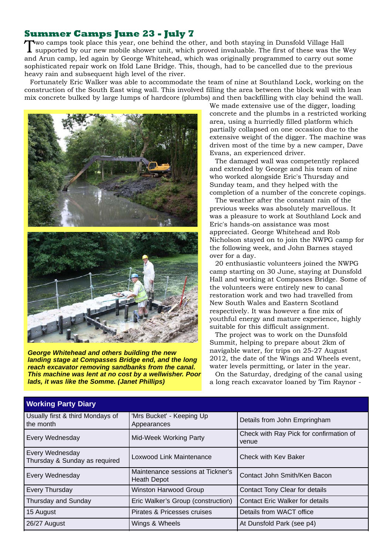# **Summer Camps June 23 - July 7**

Two camps took place this year, one behind the other, and both staying in Dunsfold Village Hall supported by our new mobile shower unit, which proved invaluable. The first of these was the Wey and Arun camp, led again by George Whitehead, which was originally programmed to carry out some sophisticated repair work on Ifold Lane Bridge. This, though, had to be cancelled due to the previous heavy rain and subsequent high level of the river.

Fortunately Eric Walker was able to accommodate the team of nine at Southland Lock, working on the construction of the South East wing wall. This involved filling the area between the block wall with lean mix concrete bulked by large lumps of hardcore (plumbs) and then backfilling with clay behind the wall.



*George Whitehead and others building the new landing stage at Compasses Bridge end, and the long reach excavator removing sandbanks from the canal. This machine was lent at no cost by a wellwisher. Poor lads, it was like the Somme. (Janet Phillips)*

We made extensive use of the digger, loading concrete and the plumbs in a restricted working area, using a hurriedly filled platform which partially collapsed on one occasion due to the extensive weight of the digger. The machine was driven most of the time by a new camper, Dave Evans, an experienced driver.

The damaged wall was competently replaced and extended by George and his team of nine who worked alongside Eric's Thursday and Sunday team, and they helped with the completion of a number of the concrete copings.

The weather after the constant rain of the previous weeks was absolutely marvellous. It was a pleasure to work at Southland Lock and Eric's hands-on assistance was most appreciated. George Whitehead and Rob Nicholson stayed on to join the NWPG camp for the following week, and John Barnes stayed over for a day.

20 enthusiastic volunteers joined the NWPG camp starting on 30 June, staying at Dunsfold Hall and working at Compasses Bridge. Some of the volunteers were entirely new to canal restoration work and two had travelled from New South Wales and Eastern Scotland respectively. It was however a fine mix of youthful energy and mature experience, highly suitable for this difficult assignment.

The project was to work on the Dunsfold Summit, helping to prepare about 2km of navigable water, for trips on 25-27 August 2012, the date of the Wings and Wheels event, water levels permitting, or later in the year.

On the Saturday, dredging of the canal using a long reach excavator loaned by Tim Raynor -

| $\cdots$ $\cdots$ $\cdots$ $\cdots$ $\cdots$ $\cdots$ |                                                                            |                                        |
|-------------------------------------------------------|----------------------------------------------------------------------------|----------------------------------------|
| Usually first & third Mondays of<br>the month         | 'Mrs Bucket' - Keeping Up<br>Appearances                                   | Details from John Empringham           |
| Every Wednesday                                       | Check with Ray Pick for confirmation of<br>Mid-Week Working Party<br>venue |                                        |
| Every Wednesday<br>Thursday & Sunday as required      | Loxwood Link Maintenance<br>Check with Kev Baker                           |                                        |
| Every Wednesday                                       | Maintenance sessions at Tickner's<br><b>Heath Depot</b>                    | Contact John Smith/Ken Bacon           |
| Every Thursday                                        | Winston Harwood Group                                                      | Contact Tony Clear for details         |
| Thursday and Sunday                                   | Eric Walker's Group (construction)                                         | <b>Contact Eric Walker for details</b> |
| 15 August                                             | Pirates & Pricesses cruises                                                | Details from WACT office               |
| 26/27 August                                          | Wings & Wheels                                                             | At Dunsfold Park (see p4)              |

## **Working Party Diary**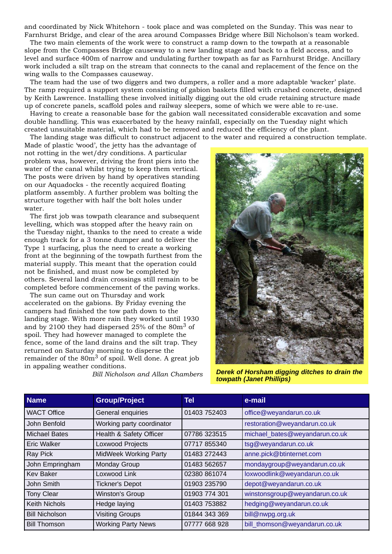and coordinated by Nick Whitehorn - took place and was completed on the Sunday. This was near to Farnhurst Bridge, and clear of the area around Compasses Bridge where Bill Nicholson's team worked.

The two main elements of the work were to construct a ramp down to the towpath at a reasonable slope from the Compasses Bridge causeway to a new landing stage and back to a field access, and to level and surface 400m of narrow and undulating further towpath as far as Farnhurst Bridge. Ancillary work included a silt trap on the stream that connects to the canal and replacement of the fence on the wing walls to the Compasses causeway.

The team had the use of two diggers and two dumpers, a roller and a more adaptable 'wacker' plate. The ramp required a support system consisting of gabion baskets filled with crushed concrete, designed by Keith Lawrence. Installing these involved initially digging out the old crude retaining structure made up of concrete panels, scaffold poles and railway sleepers, some of which we were able to re-use.

Having to create a reasonable base for the gabion wall necessitated considerable excavation and some double handling. This was exacerbated by the heavy rainfall, especially on the Tuesday night which created unsuitable material, which had to be removed and reduced the efficiency of the plant.

The landing stage was difficult to construct adjacent to the water and required a construction template. Made of plastic 'wood', the jetty has the advantage of

not rotting in the wet/dry conditions. A particular problem was, however, driving the front piers into the water of the canal whilst trying to keep them vertical. The posts were driven by hand by operatives standing on our Aquadocks - the recently acquired floating platform assembly. A further problem was bolting the structure together with half the bolt holes under water.

The first job was towpath clearance and subsequent levelling, which was stopped after the heavy rain on the Tuesday night, thanks to the need to create a wide enough track for a 3 tonne dumper and to deliver the Type 1 surfacing, plus the need to create a working front at the beginning of the towpath furthest from the material supply. This meant that the operation could not be finished, and must now be completed by others. Several land drain crossings still remain to be completed before commencement of the paving works.

The sun came out on Thursday and work accelerated on the gabions. By Friday evening the campers had finished the tow path down to the landing stage. With more rain they worked until 1930 and by 2100 they had dispersed 25% of the 80m<sup>3</sup> of spoil. They had however managed to complete the fence, some of the land drains and the silt trap. They returned on Saturday morning to disperse the remainder of the  $80m<sup>3</sup>$  of spoil. Well done. A great job in appaling weather conditions.



*Bill Nicholson and Allan Chambers*

*Derek of Horsham digging ditches to drain the towpath (Janet Phillips)*

| <b>Name</b>           | <b>Group/Project</b>         | Tel           | e-mail                         |
|-----------------------|------------------------------|---------------|--------------------------------|
| <b>WACT Office</b>    | General enquiries            | 01403 752403  | office@weyandarun.co.uk        |
| John Benfold          | Working party coordinator    |               | restoration@weyandarun.co.uk   |
| <b>Michael Bates</b>  | Health & Safety Officer      | 07786 323515  | michael_bates@weyandarun.co.uk |
| Eric Walker           | Loxwood Projects             | 07717 855340  | tsg@weyandarun.co.uk           |
| Ray Pick              | <b>MidWeek Working Party</b> | 01483 272443  | anne.pick@btinternet.com       |
| John Empringham       | Monday Group                 | 01483 562657  | mondaygroup@weyandarun.co.uk   |
| <b>Kev Baker</b>      | Loxwood Link                 | 02380 861074  | loxwoodlink@weyandarun.co.uk   |
| John Smith            | <b>Tickner's Depot</b>       | 01903 235790  | depot@weyandarun.co.uk         |
| <b>Tony Clear</b>     | Winston's Group              | 01903 774 301 | winstonsgroup@weyandarun.co.uk |
| Keith Nichols         | Hedge laying                 | 01403 753882  | hedging@weyandarun.co.uk       |
| <b>Bill Nicholson</b> | <b>Visiting Groups</b>       | 01844 343 369 | bill@nwpg.org.uk               |
| <b>Bill Thomson</b>   | <b>Working Party News</b>    | 07777 668 928 | bill_thomson@weyandarun.co.uk  |